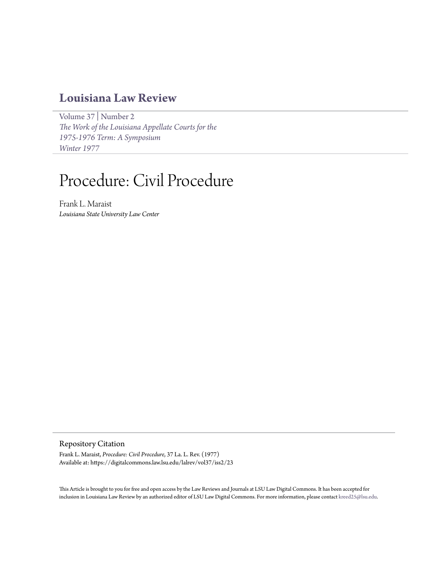# **[Louisiana Law Review](https://digitalcommons.law.lsu.edu/lalrev)**

[Volume 37](https://digitalcommons.law.lsu.edu/lalrev/vol37) | [Number 2](https://digitalcommons.law.lsu.edu/lalrev/vol37/iss2) *[The Work of the Louisiana Appellate Courts for the](https://digitalcommons.law.lsu.edu/lalrev/vol37/iss2) [1975-1976 Term: A Symposium](https://digitalcommons.law.lsu.edu/lalrev/vol37/iss2) [Winter 1977](https://digitalcommons.law.lsu.edu/lalrev/vol37/iss2)*

# Procedure: Civil Procedure

Frank L. Maraist *Louisiana State University Law Center*

Repository Citation

Frank L. Maraist, *Procedure: Civil Procedure*, 37 La. L. Rev. (1977) Available at: https://digitalcommons.law.lsu.edu/lalrev/vol37/iss2/23

This Article is brought to you for free and open access by the Law Reviews and Journals at LSU Law Digital Commons. It has been accepted for inclusion in Louisiana Law Review by an authorized editor of LSU Law Digital Commons. For more information, please contact [kreed25@lsu.edu](mailto:kreed25@lsu.edu).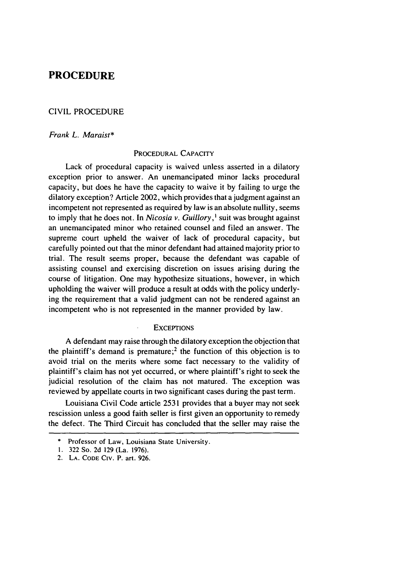## **PROCEDURE**

#### CIVIL PROCEDURE

#### *Frank L. Maraist\**

#### PROCEDURAL CAPACITY

Lack of procedural capacity is waived unless asserted in a dilatory exception prior to answer. An unemancipated minor lacks procedural capacity, but does he have the capacity to waive it **by** failing to urge the dilatory exception? Article 2002, which provides that a judgment against an incompetent not represented as required **by** law is an absolute nullity, seems to imply that he does not. In *Nicosia v. Guillory, I* suit was brought against an unemancipated minor who retained counsel and filed an answer. The supreme court upheld the waiver of lack of procedural capacity, but carefully pointed out that the minor defendant had attained majority prior to trial. The result seems proper, because the defendant was capable of assisting counsel and exercising discretion on issues arising during the course of litigation. One may hypothesize situations, however, in which upholding the waiver will produce a result at odds with the policy underlying the requirement that a valid judgment can not be rendered against an incompetent who is not represented in the manner provided **by** law.

#### **EXCEPTIONS**

A defendant may raise through the dilatory exception the objection that the plaintiff's demand is premature;<sup>2</sup> the function of this objection is to avoid trial on the merits where some fact necessary to the validity of plaintiff's claim has not yet occurred, or where plaintiff's right to seek the judicial resolution of the claim has not matured. The exception was reviewed by appellate courts in two significant cases during the past term.

Louisiana Civil Code article 2531 provides that a buyer may not seek rescission unless a good faith seller is first given an opportunity to remedy the defect. The Third Circuit has concluded that the seller may raise the

Professor of Law, Louisiana State University.

**<sup>1.</sup>** 322 So. **2d 129** (La. 1976).

**<sup>2.</sup> LA.** CODE **CIv.** P. art. **926.**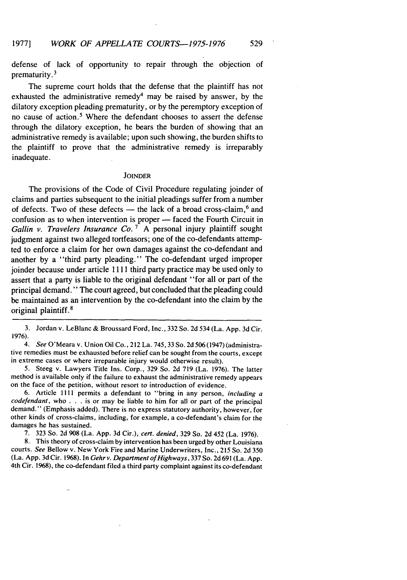defense of lack of opportunity to repair through the objection of prematurity. 3

The supreme court holds that the defense that the plaintiff has not exhausted the administrative remedy<sup>4</sup> may be raised by answer, by the dilatory exception pleading prematurity, or by the peremptory exception of no cause of action.' Where the defendant chooses to assert the defense through the dilatory exception, he bears the burden of showing that an administrative remedy is available; upon such showing, the burden shifts to the plaintiff to prove that the administrative remedy is irreparably inadequate.

#### **JOINDER**

The provisions of the Code of Civil Procedure regulating joinder of claims and parties subsequent to the initial pleadings suffer from a number of defects. Two of these defects - the lack of a broad cross-claim,<sup>6</sup> and confusion as to when intervention is proper - faced the Fourth Circuit in *Gallin v. Travelers Insurance Co.*<sup>7</sup> A personal injury plaintiff sought judgment against two alleged tortfeasors; one of the co-defendants attempted to enforce a claim for her own damages against the co-defendant and another by a "third party pleading." The co-defendant urged improper joinder because under article 1111 third party practice may be used only to assert that a party is liable to the original defendant "for all or part of the principal demand." The court agreed, but concluded that the pleading could be maintained as an intervention by the co-defendant into the claim by the original plaintiff.<sup>8</sup>

3. Jordan v. LeBlanc & Broussard Ford, Inc., 332 So. 2d 534 (La. App. 3d Cir. 1976).

4. See O'Meara v. Union Oil Co., 212 La. 745, 33 So. 2d 506 (1947) (administrative remedies must be exhausted before relief can be sought from the courts, except in extreme cases or where irreparable injury would otherwise result).

5. Steeg v. Lawyers Title Ins. Corp., 329 So. 2d 719 (La. 1976). The latter method is available only if the failure to exhaust the administrative remedy appears on the face of the petition, without resort to introduction of evidence.

6. Article 1111 permits a defendant to "bring in any person, including a  $codefendant$ , who  $\ldots$  is or may be liable to him for all or part of the principal demand." (Emphasis added). There is no express statutory authority, however, for other kinds of cross-claims, including, for example, a co-defendant's claim for the damages he has sustained.

7. 323 So. 2d 908 (La. App. 3d Cir.), cert. denied, 329 So. 2d 452 (La. 1976).

8. This theory of cross-claim by intervention has been urged by other Louisiana courts. See Bellow v. New York Fire and Marine Underwriters, Inc., 215 So. 2d 350 (La. App. 3d Cir. 1968). In Gehrv. *Department of Highways,* 337 So. 2d691 (La. App. 4th Cir. 1968), the co-defendant filed a third party complaint against its co-defendant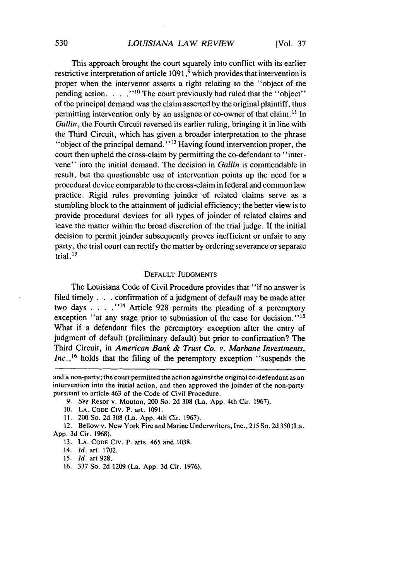### *LOUISIANA LAW REVIEW*

This approach brought the court squarely into conflict with its earlier restrictive interpretation of article 1091,<sup>9</sup> which provides that intervention is proper when the intervenor asserts a right relating to the "object of the pending action. . . .<sup>'10</sup> The court previously had ruled that the "object" of the principal demand was the claim asserted by the original plaintiff, thus permitting intervention only by an assignee or co-owner of that claim.<sup>11</sup> In *Gallin,* the Fourth Circuit reversed its earlier ruling, bringing it in line with the Third Circuit, which has given a broader interpretation to the phrase "object of the principal demand." **<sup>2</sup>**Having found intervention proper, the court then upheld the cross-claim by permitting the co-defendant to "intervene" into the initial demand. The decision in *Gallin* is commendable in result, but the questionable use of intervention points up the need for a procedural device comparable to the cross-claim in federal and common law practice. Rigid rules preventing joinder of related claims serve as a stumbling block to the attainment of judicial efficiency; the better view is to provide procedural devices for all types of joinder of related claims and leave the matter within the broad discretion of the trial judge. If the initial decision to permit joinder subsequently proves inefficient or unfair to any party, the trial court can rectify the matter by ordering severance or separate trial.

#### DEFAULT JUDGMENTS

The Louisiana Code of Civil Procedure provides that "if no answer is filed timely .... confirmation of a judgment of default may be made after two days  $\ldots$   $\ldots$  <sup>14</sup> Article 928 permits the pleading of a peremptory exception "at any stage prior to submission of the case for decision."<sup>15</sup> What if a defendant files the peremptory exception after the entry of judgment of default (preliminary default) but prior to confirmation? The Third Circuit, in *American Bank & Trust Co. v. Marbane Investments, Inc.,16* holds that the filing of the peremptory exception "suspends the

- 14. **Id.** art. 1702.
- 15. Id. art 928.
- 16. 337 So. 2d 1209 (La. App. 3d Cir. 1976).

and a non-party; the court permitted the action against the original co-defendant as an intervention into the initial action, and then approved the joinder of the non-party pursuant to article 463 of the Code of Civil Procedure.

<sup>9.</sup> See Resor v. Mouton, 200 So. 2d 308 (La. App. 4th Cir. 1967).

<sup>10.</sup> **LA.** CODE CIv. P. art. 1091.

**<sup>11.</sup>** 200 So. 2d 308 (La. App. 4th Cir. 1967).

<sup>12.</sup> Bellow v. New York Fire and Marine Underwriters, Inc., 215 So. 2d 350 (La. App. 3d Cir. 1968).

<sup>13.</sup> LA. CODE CIv. P. arts. 465 and 1038.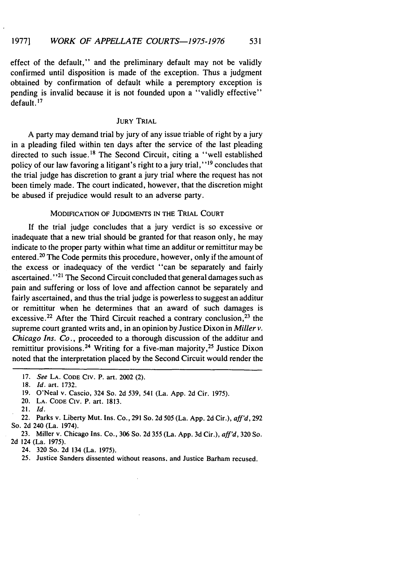effect of the default," and the preliminary default may not be validly confirmed until disposition is made of the exception. Thus a judgment obtained by confirmation of default while a peremptory exception is pending is invalid because it is not founded upon a "validly effective"  $\det$  default<sup>17</sup>

#### JURY TRIAL

A party may demand trial **by** jury of any issue triable of right **by** a jury in a pleading filed within ten days after the service of the last pleading directed to such issue.<sup>18</sup> The Second Circuit, citing a "well established policy of our law favoring a litigant's right to a jury trial," **1 <sup>9</sup>**concludes that the trial judge has discretion to grant a jury trial where the request has not been timely made. The court indicated, however, that the discretion might be abused if prejudice would result to an adverse party.

#### MODIFICATION OF JUDGMENTS IN THE TRIAL COURT

**If** the trial judge concludes that a jury verdict is so excessive or inadequate that a new trial should be granted for that reason only, he may indicate to the proper party within what time an additur or remittitur may be entered.20 The Code permits this procedure, however, only if the amount of the excess or inadequacy of the verdict "can be separately and fairly ascertained. **"21** The Second Circuit concluded that general damages such as pain and suffering or loss of love and affection cannot be separately and fairly ascertained, and thus the trial judge is powerless to suggest an additur or remittitur when he determines that an award of such damages is excessive.<sup>22</sup> After the Third Circuit reached a contrary conclusion,<sup>23</sup> the supreme court granted writs and, in an opinion **by** Justice Dixon in *Miller v.* Chicago *Ins. Co.,* proceeded to a thorough discussion of the additur and remittitur provisions.<sup>24</sup> Writing for a five-man majority,<sup>25</sup> Justice Dixon noted that the interpretation placed **by** the Second Circuit would render the

<sup>17.</sup> *See* LA. CODE CIv. P. art. 2002 (2).

<sup>18.</sup> Id. art. 1732.

<sup>19.</sup> O'Neal v. Cascio, 324 So. 2d 539, 541 (La. App. 2d Cir. 1975).

<sup>20.</sup> LA. CODE **CIV.** P. art. 1813.

<sup>21.</sup> Id,

<sup>22.</sup> Parks v. Liberty Mut. Ins. Co., 291 So. 2d 505 (La. App. 2d Cir.), *aff'd,* 292 So. 2d 240 (La. 1974).

<sup>23.</sup> Miller v. Chicago Ins. Co., 306 So. 2d 355 (La. App. 3d Cir.), *aff'd,* 320 So. 2d 124 (La. 1975).

<sup>24. 320</sup> So. 2d 134 (La. 1975).

<sup>25.</sup> Justice Sanders dissented without reasons, and Justice Barham recused.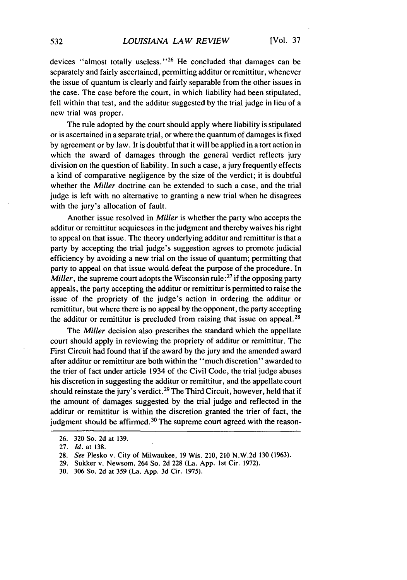devices "almost totally useless."<sup>26</sup> He concluded that damages can be separately and fairly ascertained, permitting additur or remittitur, whenever the issue of quantum is clearly and fairly separable from the other issues in the case. The case before the court, in which liability had been stipulated, fell within that test, and the additur suggested by the trial judge in lieu of a new trial was proper.

The rule adopted by the court should apply where liability is stipulated or is ascertained in a separate trial, or where the quantum of damages is fixed by agreement or by law. It is doubtful that it will be applied in a tort action in which the award of damages through the general verdict reflects jury division on the question of liability. In such a case, a jury frequently effects a kind of comparative negligence by the size of the verdict; it is doubtful whether the *Miller* doctrine can be extended to such a case, and the trial judge is left with no alternative to granting a new trial when he disagrees with the jury's allocation of fault.

Another issue resolved in *Miller* is whether the party who accepts the additur or remittitur acquiesces in the judgment and thereby waives his right to appeal on that issue. The theory underlying additur and remittitur is that a party by accepting the trial judge's suggestion agrees to promote judicial efficiency by avoiding a new trial on the issue of quantum; permitting that party to appeal on that issue would defeat the purpose of the procedure. In *Miller*, the supreme court adopts the Wisconsin rule:<sup>27</sup> if the opposing party appeals, the party accepting the additur or remittitur is permitted to raise the issue of the propriety of the judge's action in ordering the additur or remittitur, but where there is no appeal by the opponent, the party accepting the additur or remittitur is precluded from raising that issue on appeal.<sup>28</sup>

The *Miller* decision also prescribes the standard which the appellate court should apply in reviewing the propriety of additur or remittitur. The First Circuit had found that if the award by the jury and the amended award after additur or remittitur are both within the "much discretion" awarded to the trier of fact under article 1934 of the Civil Code, the trial judge abuses his discretion in suggesting the additur or remittitur, and the appellate court should reinstate the jury's verdict **. <sup>29</sup>**The Third Circuit, however, held that if the amount of damages suggested by the trial judge and reflected in the additur or remittitur is within the discretion granted the trier of fact, the judgment should be affirmed.<sup>30</sup> The supreme court agreed with the reason-

<sup>26. 320</sup> So. 2d at 139.

<sup>27.</sup> Id. at 138.

<sup>28.</sup> See Plesko v. City of Milwaukee, 19 Wis. 210, 210 N.W.2d 130 (1963).

<sup>29.</sup> Sukker v. Newsom, 264 So. 2d 228 (La. App. 1st Cir. 1972).

<sup>30. 306</sup> So. 2d at 359 (La. App. 3d Cir. 1975).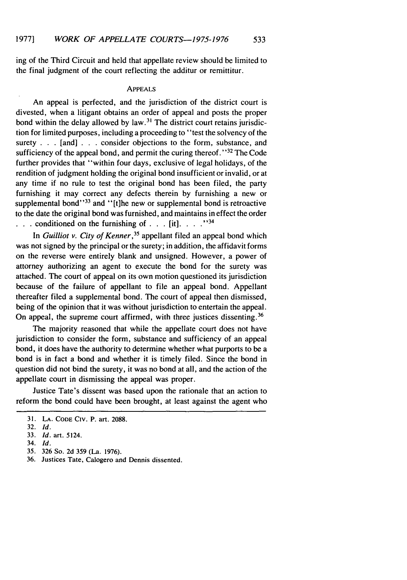ing of the Third Circuit and held that appellate review should be limited to the final judgment of the court reflecting the additur or remittitur.

#### APPEALS

An appeal is perfected, and the jurisdiction of the district court is divested, when a litigant obtains an order of appeal and posts the proper bond within the delay allowed by law.<sup>31</sup> The district court retains jurisdiction for limited purposes, including a proceeding to "test the solvency of the surety . . . [and] . . . consider objections to the form, substance, and sufficiency of the appeal bond, and permit the curing thereof." $32$  The Code further provides that "within four days, exclusive of legal holidays, of the rendition of judgment holding the original bond insufficient or invalid, or at any time if no rule to test the original bond has been filed, the party furnishing it may correct any defects therein by furnishing a new or supplemental bond" $33$  and "[t]he new or supplemental bond is retroactive to the date the original bond was furnished, and maintains in effect the order **. . .**conditioned on the furnishing of . . .[it]. . . **.**

In Guilliot v. *City* of *Kenner,35* appellant filed an appeal bond which was not signed by the principal or the surety; in addition, the affidavit forms on the reverse were entirely blank and unsigned. However, a power of attorney authorizing an agent to execute the bond for the surety was attached. The court of appeal on its own motion questioned its jurisdiction because of the failure of appellant to file an appeal bond. Appellant thereafter filed a supplemental bond. The court of appeal then dismissed, being of the opinion that it was without jurisdiction to entertain the appeal. On appeal, the supreme court affirmed, with three justices dissenting. <sup>36</sup>

The majority reasoned that while the appellate court does not have jurisdiction to consider the form, substance and sufficiency of an appeal bond, it does have the authority to determine whether what purports to be a bond is in fact a bond and whether it is timely filed. Since the bond in question did not bind the surety, it was no bond at all, and the action of the appellate court in dismissing the appeal was proper.

Justice Tate's dissent was based upon the rationale that an action to reform the bond could have been brought, at least against the agent who

<sup>31.</sup> LA. CODE CIv. P. art. 2088.

<sup>32.</sup> Id.

<sup>33.</sup> Id. art. 5124.

<sup>34.</sup> Id.

<sup>35.</sup> 326 So. 2d 359 (La. 1976).

<sup>36.</sup> Justices Tate, Calogero and Dennis dissented.